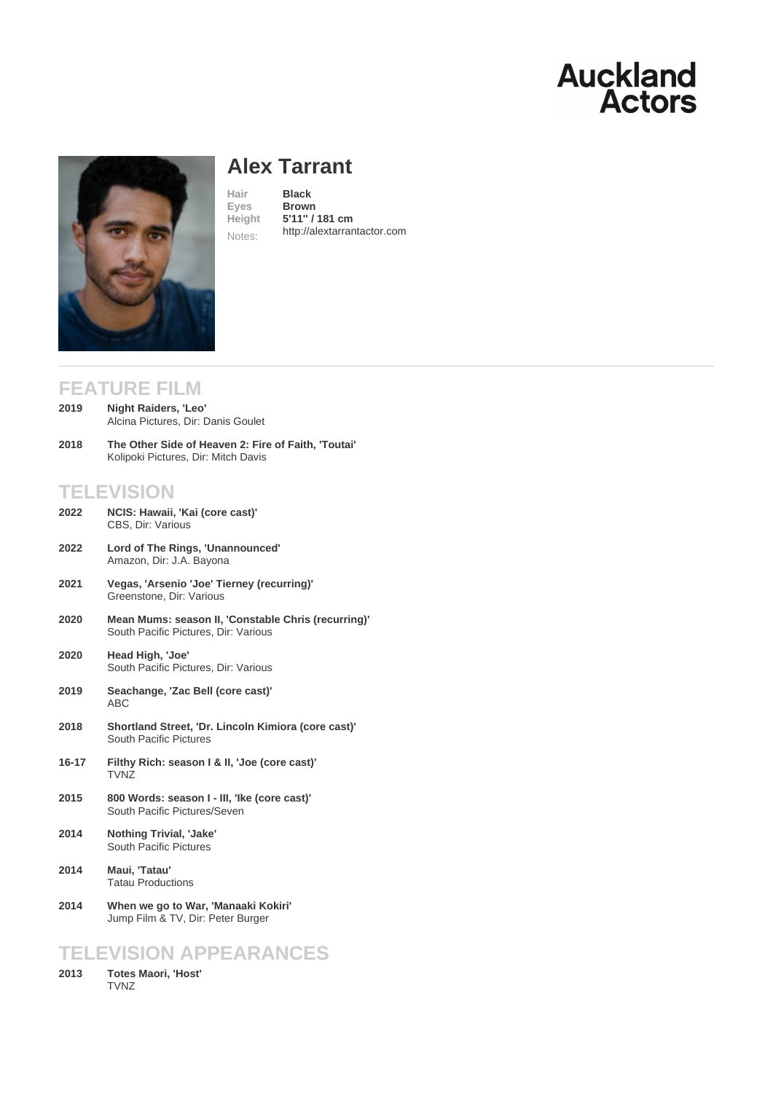# Alex Tarrant

Hair **Black**<br>Eyes **Browr Brown** Height 5'11'' / 181 cm Notes: [http://alextarran](/actors/details/alex-tarrant)tactor.com

## FEATURE FILM

| 2019 | Night Raiders, 'Leo'               |
|------|------------------------------------|
|      | Alcina Pictures, Dir: Danis Goulet |

The Other Side of Heaven 2: Fire of Faith, 'Toutai' Kolipoki Pictures, Dir: Mitch Davis 2018

# **TELEVISION**

| 2022 | NCIS: Hawaii, 'Kai (core cast)' |
|------|---------------------------------|
|      | CBS, Dir: Various               |

- Lord of The Rings, 'Unannounced' Amazon, Dir: J.A. Bayona 2022
- Vegas, 'Arsenio 'Joe' Tierney (recurring)' Greenstone, Dir: Various 2021
- Mean Mums: season II, 'Constable Chris (recurring)' South Pacific Pictures, Dir: Various 2020
- Head High, 'Joe' South Pacific Pictures, Dir: Various 2020
- Seachange, 'Zac Bell (core cast)' ABC 2019
- Shortland Street, 'Dr. Lincoln Kimiora (core cast)' South Pacific Pictures 2018
- Filthy Rich: season I & II, 'Joe (core cast)' TVNZ 16-17
- 800 Words: season I III, 'Ike (core cast)' South Pacific Pictures/Seven 2015
- Nothing Trivial, 'Jake' South Pacific Pictures 2014
- Maui, 'Tatau' Tatau Productions 2014
- When we go to War, 'Manaaki Kokiri' Jump Film & TV, Dir: Peter Burger 2014

## TELEVISION APPEARANCES

Totes Maori, 'Host' **TVNZ** 2013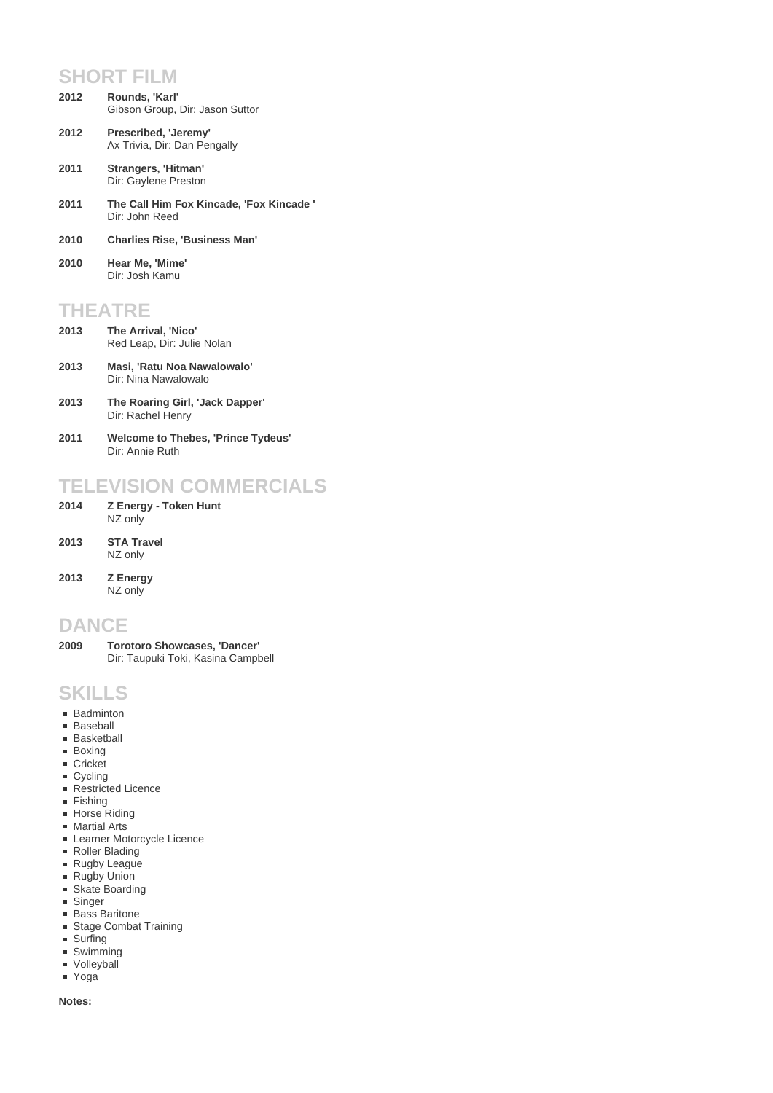#### **SHORT FILM**

- **Rounds, 'Karl'** Gibson Group, Dir: Jason Suttor **2012**
- **Prescribed, 'Jeremy'** Ax Trivia, Dir: Dan Pengally **2012**
- **Strangers, 'Hitman'** Dir: Gaylene Preston **2011**
- **The Call Him Fox Kincade, 'Fox Kincade '** Dir: John Reed **2011**
- **2010 Charlies Rise, 'Business Man'**
- **Hear Me, 'Mime'** Dir: Josh Kamu **2010**

# **THEATRE**

- **The Arrival, 'Nico'** Red Leap, Dir: Julie Nolan **2013**
- **Masi, 'Ratu Noa Nawalowalo'** Dir: Nina Nawalowalo **2013**
- **The Roaring Girl, 'Jack Dapper'** Dir: Rachel Henry **2013**
- **Welcome to Thebes, 'Prince Tydeus'** Dir: Annie Ruth **2011**

## **TELEVISION COMMERCIALS**

- **Z Energy Token Hunt** NZ only **2014**
- **STA Travel** NZ only **2013**
- **Z Energy** NZ only **2013**

### **DANCE**

**Torotoro Showcases, 'Dancer'** Dir: Taupuki Toki, Kasina Campbell **2009**

### **SKILLS**

- **Badminton**
- **Baseball**
- **Basketball**
- **Boxing**
- Cricket
- Cycling ■ Restricted Licence
- **Fishing**
- **Horse Riding**
- **Martial Arts**
- Learner Motorcycle Licence
- Roller Blading
- Rugby League
- Rugby Union
- Skate Boarding
- **Singer**
- **Bass Baritone Stage Combat Training**
- **Surfing**
- Swimming
- **volleyball**
- **Yoga**

#### **Notes:**